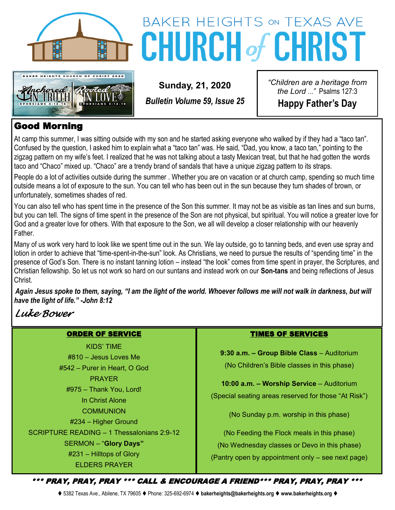



# BAKER HEIGHTS ON TEXAS AVE **CHURCH of CHRIST**

*Bulletin Volume 59, Issue 25*

**Sunday, 21, 2020**

*"Children are a heritage from the Lord …"* Psalms 127:3 **Happy Father's Day**

#### Good Morning

At camp this summer, I was sitting outside with my son and he started asking everyone who walked by if they had a "taco tan". Confused by the question, I asked him to explain what a "taco tan" was. He said, "Dad, you know, a taco tan," pointing to the zigzag pattern on my wife's feet. I realized that he was not talking about a tasty Mexican treat, but that he had gotten the words taco and "Chaco" mixed up. "Chaco" are a trendy brand of sandals that have a unique zigzag pattern to its straps.

People do a lot of activities outside during the summer . Whether you are on vacation or at church camp, spending so much time outside means a lot of exposure to the sun. You can tell who has been out in the sun because they turn shades of brown, or unfortunately, sometimes shades of red.

You can also tell who has spent time in the presence of the Son this summer. It may not be as visible as tan lines and sun burns, but you can tell. The signs of time spent in the presence of the Son are not physical, but spiritual. You will notice a greater love for God and a greater love for others. With that exposure to the Son, we all will develop a closer relationship with our heavenly Father.

Many of us work very hard to look like we spent time out in the sun. We lay outside, go to tanning beds, and even use spray and lotion in order to achieve that "time-spent-in-the-sun" look. As Christians, we need to pursue the results of "spending time" in the presence of God's Son. There is no instant tanning lotion – instead "the look" comes from time spent in prayer, the Scriptures, and Christian fellowship. So let us not work so hard on our suntans and instead work on our **Son-tans** and being reflections of Jesus Christ.

*Again Jesus spoke to them, saying, "I am the light of the world. Whoever follows me will not walk in darkness, but will have the light of life." -John 8:12*

### *Luke Bower*

#### ORDER OF SERVICE

KIDS' TIME #810 – Jesus Loves Me #542 – Purer in Heart, O God PRAYER #975 – Thank You, Lord! In Christ Alone **COMMUNION** #234 – Higher Ground SCRIPTURE READING – 1 Thessalonians 2:9-12 SERMON – "**Glory Days"** #231 – Hilltops of Glory ELDERS PRAYER

#### TIMES OF SERVICES

**9:30 a.m. – Group Bible Class** – Auditorium (No Children's Bible classes in this phase)

**10:00 a.m. – Worship Service** – Auditorium (Special seating areas reserved for those "At Risk")

(No Sunday p.m. worship in this phase)

(No Feeding the Flock meals in this phase) (No Wednesday classes or Devo in this phase) (Pantry open by appointment only – see next page)

\*\*\* PRAY, PRAY, PRAY \*\*\* CALL & ENCOURAGE A FRIEND\*\*\* PRAY, PRAY, PRAY \*\*\*

⧫ 5382 Texas Ave., Abilene, TX 79605 ⧫ Phone: 325-692-6974 ⧫ **bakerheights@bakerheights.org** ⧫ **www.bakerheights.org** ⧫